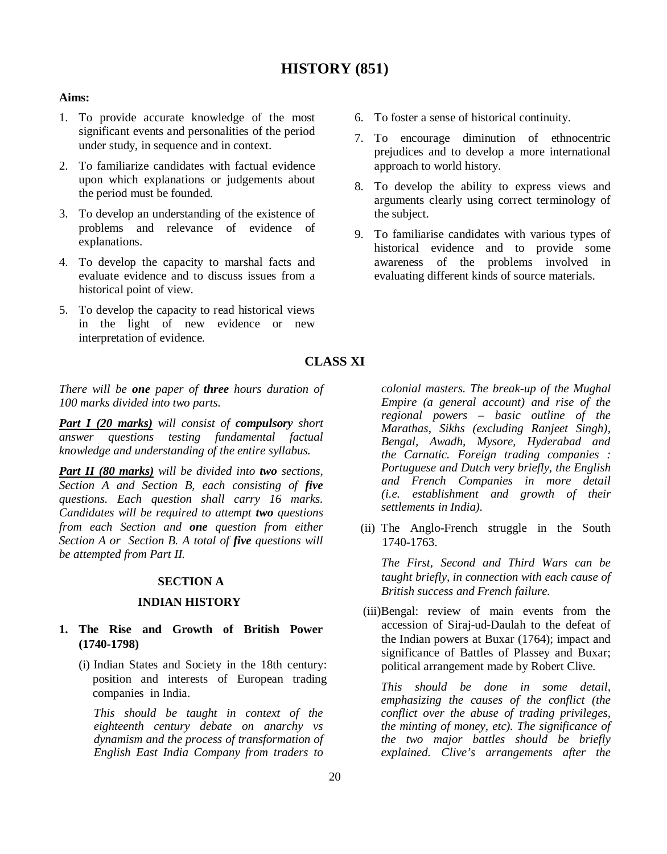# **HISTORY (851)**

# **Aims:**

- 1. To provide accurate knowledge of the most significant events and personalities of the period under study, in sequence and in context.
- 2. To familiarize candidates with factual evidence upon which explanations or judgements about the period must be founded.
- 3. To develop an understanding of the existence of problems and relevance of evidence of explanations.
- 4. To develop the capacity to marshal facts and evaluate evidence and to discuss issues from a historical point of view.
- 5. To develop the capacity to read historical views in the light of new evidence or new interpretation of evidence.
- 6. To foster a sense of historical continuity.
- 7. To encourage diminution of ethnocentric prejudices and to develop a more international approach to world history.
- 8. To develop the ability to express views and arguments clearly using correct terminology of the subject.
- 9. To familiarise candidates with various types of historical evidence and to provide some awareness of the problems involved in evaluating different kinds of source materials.

# **CLASS XI**

*There will be one paper of three hours duration of 100 marks divided into two parts.*

*Part I (20 marks) will consist of compulsory short answer questions testing fundamental factual knowledge and understanding of the entire syllabus.*

*Part II (80 marks) will be divided into two sections, Section A and Section B, each consisting of five questions. Each question shall carry 16 marks. Candidates will be required to attempt two questions from each Section and one question from either Section A or Section B. A total of five questions will be attempted from Part II.*

## **SECTION A**

## **INDIAN HISTORY**

# **1. The Rise and Growth of British Power (1740-1798)**

(i) Indian States and Society in the 18th century: position and interests of European trading companies in India.

*This should be taught in context of the eighteenth century debate on anarchy vs dynamism and the process of transformation of English East India Company from traders to* 

*colonial masters. The break-up of the Mughal Empire (a general account) and rise of the regional powers – basic outline of the Marathas, Sikhs (excluding Ranjeet Singh), Bengal, Awadh, Mysore, Hyderabad and the Carnatic. Foreign trading companies : Portuguese and Dutch very briefly, the English and French Companies in more detail (i.e. establishment and growth of their settlements in India).*

(ii) The Anglo-French struggle in the South 1740-1763.

*The First, Second and Third Wars can be taught briefly, in connection with each cause of British success and French failure.*

(iii)Bengal: review of main events from the accession of Siraj-ud-Daulah to the defeat of the Indian powers at Buxar (1764); impact and significance of Battles of Plassey and Buxar; political arrangement made by Robert Clive.

*This should be done in some detail, emphasizing the causes of the conflict (the conflict over the abuse of trading privileges, the minting of money, etc). The significance of the two major battles should be briefly explained. Clive's arrangements after the*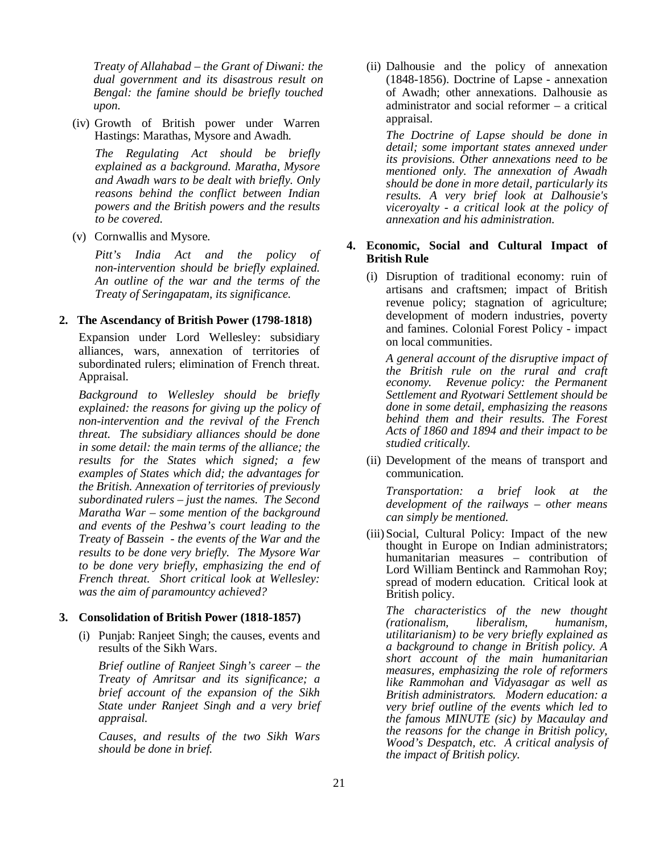*Treaty of Allahabad – the Grant of Diwani: the dual government and its disastrous result on Bengal: the famine should be briefly touched upon.*

(iv) Growth of British power under Warren Hastings: Marathas, Mysore and Awadh.

*The Regulating Act should be briefly explained as a background. Maratha, Mysore and Awadh wars to be dealt with briefly. Only reasons behind the conflict between Indian powers and the British powers and the results to be covered.* 

(v) Cornwallis and Mysore.

*Pitt's India Act and the policy of non-intervention should be briefly explained. An outline of the war and the terms of the Treaty of Seringapatam, its significance.*

#### **2. The Ascendancy of British Power (1798-1818)**

Expansion under Lord Wellesley: subsidiary alliances, wars, annexation of territories of subordinated rulers; elimination of French threat. Appraisal.

*Background to Wellesley should be briefly explained: the reasons for giving up the policy of non-intervention and the revival of the French threat. The subsidiary alliances should be done in some detail: the main terms of the alliance; the results for the States which signed; a few examples of States which did; the advantages for the British. Annexation of territories of previously subordinated rulers – just the names. The Second Maratha War – some mention of the background and events of the Peshwa's court leading to the Treaty of Bassein - the events of the War and the results to be done very briefly. The Mysore War to be done very briefly, emphasizing the end of French threat. Short critical look at Wellesley: was the aim of paramountcy achieved?*

#### **3. Consolidation of British Power (1818-1857)**

(i) Punjab: Ranjeet Singh; the causes, events and results of the Sikh Wars.

*Brief outline of Ranjeet Singh's career – the Treaty of Amritsar and its significance; a brief account of the expansion of the Sikh State under Ranjeet Singh and a very brief appraisal.* 

*Causes, and results of the two Sikh Wars should be done in brief.*

(ii) Dalhousie and the policy of annexation (1848-1856). Doctrine of Lapse - annexation of Awadh; other annexations. Dalhousie as administrator and social reformer – a critical appraisal.

*The Doctrine of Lapse should be done in detail; some important states annexed under its provisions. Other annexations need to be mentioned only. The annexation of Awadh should be done in more detail, particularly its results. A very brief look at Dalhousie's viceroyalty - a critical look at the policy of annexation and his administration.*

# **4. Economic, Social and Cultural Impact of British Rule**

(i) Disruption of traditional economy: ruin of artisans and craftsmen; impact of British revenue policy; stagnation of agriculture; development of modern industries, poverty and famines. Colonial Forest Policy - impact on local communities.

*A general account of the disruptive impact of the British rule on the rural and craft economy. Revenue policy: the Permanent Settlement and Ryotwari Settlement should be done in some detail, emphasizing the reasons behind them and their results. The Forest Acts of 1860 and 1894 and their impact to be studied critically.*

(ii) Development of the means of transport and communication.

*Transportation: a brief look at the development of the railways – other means can simply be mentioned.*

(iii) Social, Cultural Policy: Impact of the new thought in Europe on Indian administrators; humanitarian measures – contribution of Lord William Bentinck and Rammohan Roy; spread of modern education. Critical look at British policy.

*The characteristics of the new thought (rationalism, liberalism, humanism, utilitarianism) to be very briefly explained as a background to change in British policy. A short account of the main humanitarian measures, emphasizing the role of reformers like Rammohan and Vidyasagar as well as British administrators. Modern education: a very brief outline of the events which led to the famous MINUTE (sic) by Macaulay and the reasons for the change in British policy, Wood's Despatch, etc. A critical analysis of the impact of British policy.*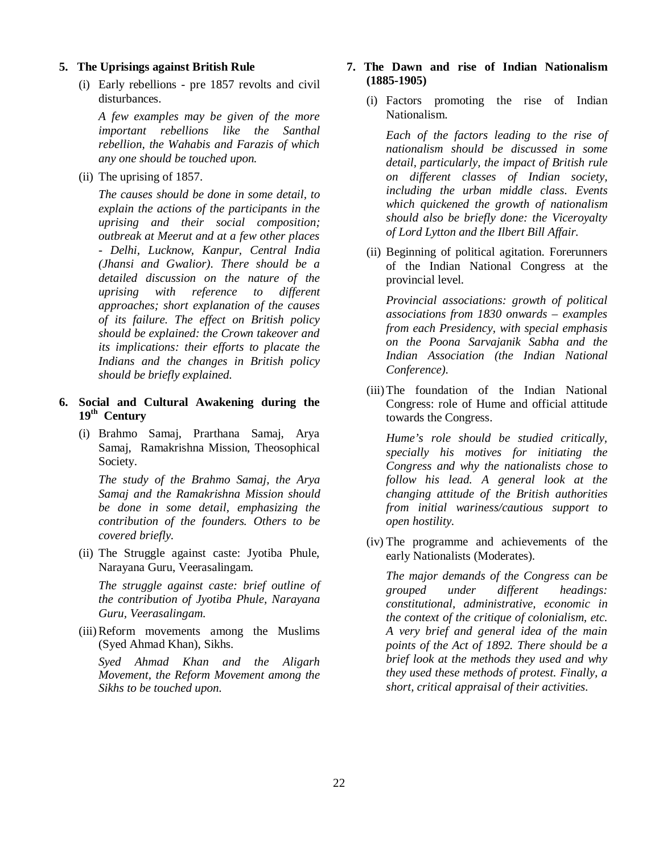### **5. The Uprisings against British Rule**

(i) Early rebellions - pre 1857 revolts and civil disturbances.

*A few examples may be given of the more important rebellions like the Santhal rebellion, the Wahabis and Farazis of which any one should be touched upon.* 

(ii) The uprising of 1857.

*The causes should be done in some detail, to explain the actions of the participants in the uprising and their social composition; outbreak at Meerut and at a few other places - Delhi, Lucknow, Kanpur, Central India (Jhansi and Gwalior). There should be a detailed discussion on the nature of the uprising with reference to different approaches; short explanation of the causes of its failure. The effect on British policy should be explained: the Crown takeover and its implications: their efforts to placate the Indians and the changes in British policy should be briefly explained.*

- **6. Social and Cultural Awakening during the 19th Century**
	- (i) Brahmo Samaj, Prarthana Samaj, Arya Samaj, Ramakrishna Mission, Theosophical Society.

*The study of the Brahmo Samaj, the Arya Samaj and the Ramakrishna Mission should be done in some detail, emphasizing the contribution of the founders. Others to be covered briefly.*

(ii) The Struggle against caste: Jyotiba Phule, Narayana Guru, Veerasalingam.

*The struggle against caste: brief outline of the contribution of Jyotiba Phule, Narayana Guru, Veerasalingam.*

(iii)Reform movements among the Muslims (Syed Ahmad Khan), Sikhs.

*Syed Ahmad Khan and the Aligarh Movement, the Reform Movement among the Sikhs to be touched upon.*

# **7. The Dawn and rise of Indian Nationalism (1885-1905)**

(i) Factors promoting the rise of Indian Nationalism.

*Each of the factors leading to the rise of nationalism should be discussed in some detail, particularly, the impact of British rule on different classes of Indian society, including the urban middle class. Events which quickened the growth of nationalism should also be briefly done: the Viceroyalty of Lord Lytton and the Ilbert Bill Affair.*

(ii) Beginning of political agitation. Forerunners of the Indian National Congress at the provincial level.

*Provincial associations: growth of political associations from 1830 onwards – examples from each Presidency, with special emphasis on the Poona Sarvajanik Sabha and the Indian Association (the Indian National Conference).*

(iii)The foundation of the Indian National Congress: role of Hume and official attitude towards the Congress.

*Hume's role should be studied critically, specially his motives for initiating the Congress and why the nationalists chose to follow his lead. A general look at the changing attitude of the British authorities from initial wariness/cautious support to open hostility.*

(iv) The programme and achievements of the early Nationalists (Moderates).

*The major demands of the Congress can be grouped under different headings: constitutional, administrative, economic in the context of the critique of colonialism, etc. A very brief and general idea of the main points of the Act of 1892. There should be a brief look at the methods they used and why they used these methods of protest. Finally, a short, critical appraisal of their activities.*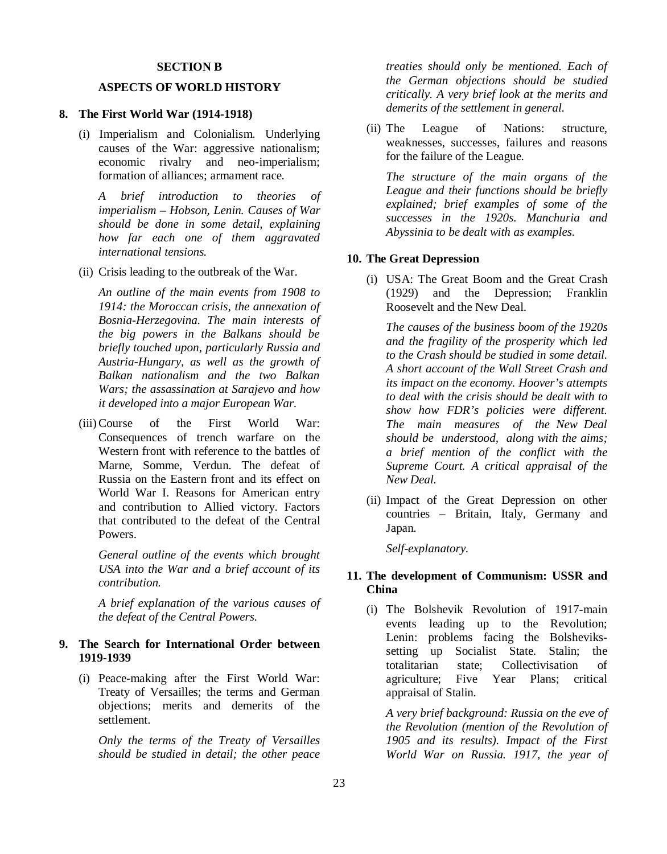### **SECTION B**

# **ASPECTS OF WORLD HISTORY**

#### **8. The First World War (1914-1918)**

(i) Imperialism and Colonialism. Underlying causes of the War: aggressive nationalism; economic rivalry and neo-imperialism; formation of alliances; armament race.

*A brief introduction to theories of imperialism – Hobson, Lenin. Causes of War should be done in some detail, explaining how far each one of them aggravated international tensions.*

(ii) Crisis leading to the outbreak of the War.

*An outline of the main events from 1908 to 1914: the Moroccan crisis, the annexation of Bosnia-Herzegovina. The main interests of the big powers in the Balkans should be briefly touched upon, particularly Russia and Austria-Hungary, as well as the growth of Balkan nationalism and the two Balkan Wars; the assassination at Sarajevo and how it developed into a major European War.* 

(iii)Course of the First World War: Consequences of trench warfare on the Western front with reference to the battles of Marne, Somme, Verdun. The defeat of Russia on the Eastern front and its effect on World War I. Reasons for American entry and contribution to Allied victory. Factors that contributed to the defeat of the Central Powers.

*General outline of the events which brought USA into the War and a brief account of its contribution.*

*A brief explanation of the various causes of the defeat of the Central Powers.*

# **9. The Search for International Order between 1919-1939**

(i) Peace-making after the First World War: Treaty of Versailles; the terms and German objections; merits and demerits of the settlement.

*Only the terms of the Treaty of Versailles should be studied in detail; the other peace* 

*treaties should only be mentioned. Each of the German objections should be studied critically. A very brief look at the merits and demerits of the settlement in general.*

(ii) The League of Nations: structure, weaknesses, successes, failures and reasons for the failure of the League.

*The structure of the main organs of the League and their functions should be briefly explained; brief examples of some of the successes in the 1920s. Manchuria and Abyssinia to be dealt with as examples.* 

#### **10. The Great Depression**

(i) USA: The Great Boom and the Great Crash (1929) and the Depression; Franklin Roosevelt and the New Deal.

*The causes of the business boom of the 1920s and the fragility of the prosperity which led to the Crash should be studied in some detail. A short account of the Wall Street Crash and its impact on the economy. Hoover's attempts to deal with the crisis should be dealt with to show how FDR's policies were different. The main measures of the New Deal should be understood, along with the aims; a brief mention of the conflict with the Supreme Court. A critical appraisal of the New Deal.* 

(ii) Impact of the Great Depression on other countries – Britain, Italy, Germany and Japan.

*Self-explanatory.*

# **11. The development of Communism: USSR and China**

(i) The Bolshevik Revolution of 1917-main events leading up to the Revolution; Lenin: problems facing the Bolshevikssetting up Socialist State. Stalin; the totalitarian state; Collectivisation of agriculture; Five Year Plans; critical appraisal of Stalin.

*A very brief background: Russia on the eve of the Revolution (mention of the Revolution of 1905 and its results). Impact of the First World War on Russia. 1917, the year of*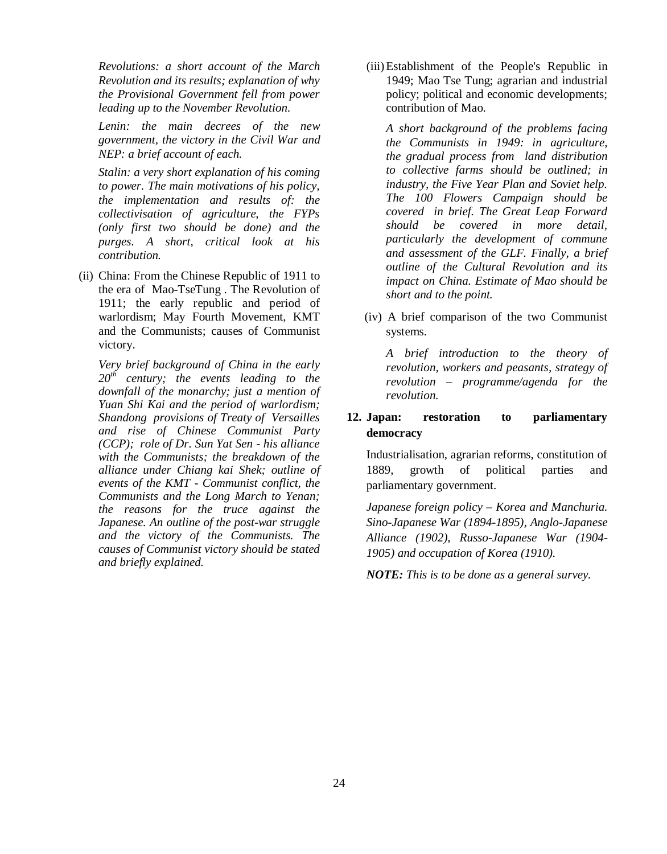*Revolutions: a short account of the March Revolution and its results; explanation of why the Provisional Government fell from power leading up to the November Revolution.*

*Lenin: the main decrees of the new government, the victory in the Civil War and NEP: a brief account of each.*

*Stalin: a very short explanation of his coming to power. The main motivations of his policy, the implementation and results of: the collectivisation of agriculture, the FYPs (only first two should be done) and the purges. A short, critical look at his contribution.* 

(ii) China: From the Chinese Republic of 1911 to the era of Mao-TseTung . The Revolution of 1911; the early republic and period of warlordism; May Fourth Movement, KMT and the Communists; causes of Communist victory.

*Very brief background of China in the early 20th century; the events leading to the downfall of the monarchy; just a mention of Yuan Shi Kai and the period of warlordism; Shandong provisions of Treaty of Versailles and rise of Chinese Communist Party (CCP); role of Dr. Sun Yat Sen - his alliance with the Communists; the breakdown of the alliance under Chiang kai Shek; outline of events of the KMT - Communist conflict, the Communists and the Long March to Yenan; the reasons for the truce against the Japanese. An outline of the post-war struggle and the victory of the Communists. The causes of Communist victory should be stated and briefly explained.*

(iii)Establishment of the People's Republic in 1949; Mao Tse Tung; agrarian and industrial policy; political and economic developments; contribution of Mao.

*A short background of the problems facing the Communists in 1949: in agriculture, the gradual process from land distribution to collective farms should be outlined; in industry, the Five Year Plan and Soviet help. The 100 Flowers Campaign should be covered in brief. The Great Leap Forward should be covered in more detail, particularly the development of commune and assessment of the GLF. Finally, a brief outline of the Cultural Revolution and its impact on China. Estimate of Mao should be short and to the point.*

 (iv) A brief comparison of the two Communist systems.

*A brief introduction to the theory of revolution, workers and peasants, strategy of revolution – programme/agenda for the revolution.*

# **12. Japan: restoration to parliamentary democracy**

Industrialisation, agrarian reforms, constitution of 1889, growth of political parties and parliamentary government.

*Japanese foreign policy – Korea and Manchuria. Sino-Japanese War (1894-1895), Anglo-Japanese Alliance (1902), Russo-Japanese War (1904- 1905) and occupation of Korea (1910).* 

*NOTE: This is to be done as a general survey.*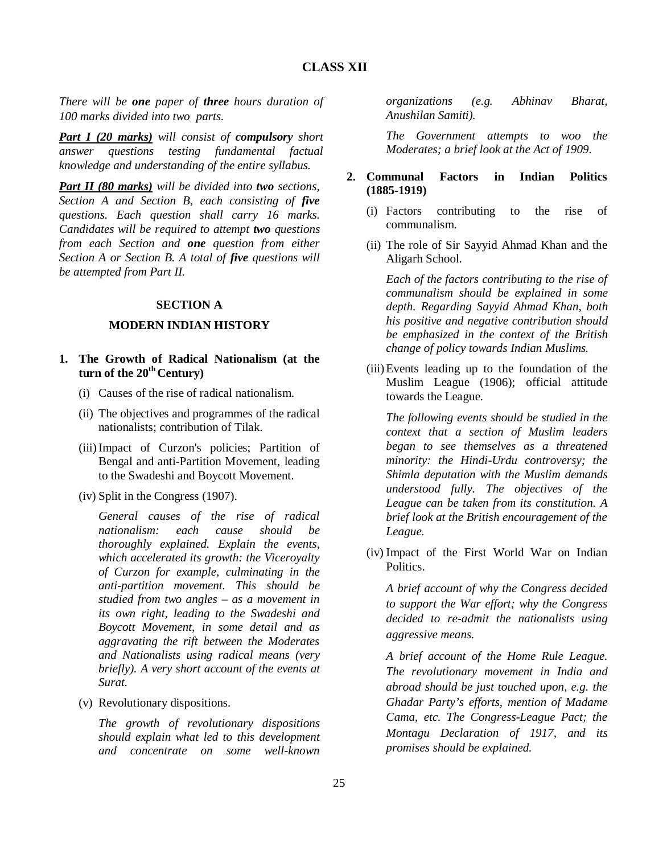*There will be one paper of three hours duration of 100 marks divided into two parts.*

*Part I (20 marks) will consist of compulsory short answer questions testing fundamental factual knowledge and understanding of the entire syllabus.*

*Part II (80 marks) will be divided into two sections, Section A and Section B, each consisting of five questions. Each question shall carry 16 marks. Candidates will be required to attempt two questions from each Section and one question from either Section A or Section B. A total of five questions will be attempted from Part II.*

# **SECTION A**

# **MODERN INDIAN HISTORY**

- **1. The Growth of Radical Nationalism (at the turn of the 20th Century)**
	- (i) Causes of the rise of radical nationalism.
	- (ii) The objectives and programmes of the radical nationalists; contribution of Tilak.
	- (iii)Impact of Curzon's policies; Partition of Bengal and anti-Partition Movement, leading to the Swadeshi and Boycott Movement.
	- (iv) Split in the Congress (1907).

*General causes of the rise of radical nationalism: each cause should be thoroughly explained. Explain the events, which accelerated its growth: the Viceroyalty of Curzon for example, culminating in the anti-partition movement. This should be studied from two angles – as a movement in its own right, leading to the Swadeshi and Boycott Movement, in some detail and as aggravating the rift between the Moderates and Nationalists using radical means (very briefly). A very short account of the events at Surat.* 

(v) Revolutionary dispositions.

*The growth of revolutionary dispositions should explain what led to this development and concentrate on some well-known* 

*organizations (e.g. Abhinav Bharat, Anushilan Samiti).*

*The Government attempts to woo the Moderates; a brief look at the Act of 1909.*

# **2. Communal Factors in Indian Politics (1885-1919)**

- (i) Factors contributing to the rise of communalism.
- (ii) The role of Sir Sayyid Ahmad Khan and the Aligarh School.

*Each of the factors contributing to the rise of communalism should be explained in some depth. Regarding Sayyid Ahmad Khan, both his positive and negative contribution should be emphasized in the context of the British change of policy towards Indian Muslims.*

(iii)Events leading up to the foundation of the Muslim League (1906); official attitude towards the League.

*The following events should be studied in the context that a section of Muslim leaders began to see themselves as a threatened minority: the Hindi-Urdu controversy; the Shimla deputation with the Muslim demands understood fully. The objectives of the League can be taken from its constitution. A brief look at the British encouragement of the League.*

(iv) Impact of the First World War on Indian Politics.

*A brief account of why the Congress decided to support the War effort; why the Congress decided to re-admit the nationalists using aggressive means.*

*A brief account of the Home Rule League. The revolutionary movement in India and abroad should be just touched upon, e.g. the Ghadar Party's efforts, mention of Madame Cama, etc. The Congress-League Pact; the Montagu Declaration of 1917, and its promises should be explained.*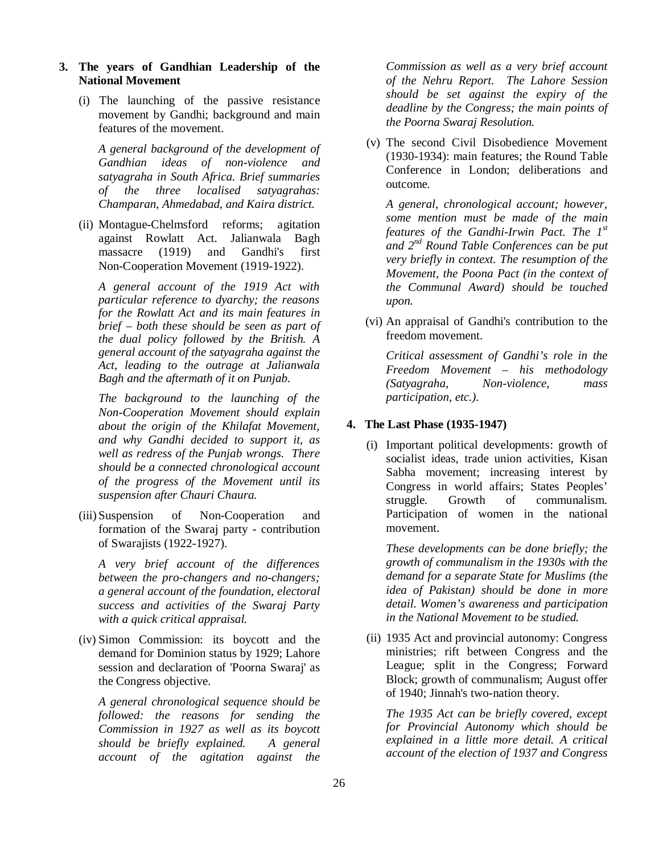- **3. The years of Gandhian Leadership of the National Movement**
	- (i) The launching of the passive resistance movement by Gandhi; background and main features of the movement.

*A general background of the development of Gandhian ideas of non-violence and satyagraha in South Africa. Brief summaries of the three localised satyagrahas: Champaran, Ahmedabad, and Kaira district.*

(ii) Montague-Chelmsford reforms; agitation against Rowlatt Act. Jalianwala Bagh massacre (1919) and Gandhi's first Non-Cooperation Movement (1919-1922).

*A general account of the 1919 Act with particular reference to dyarchy; the reasons for the Rowlatt Act and its main features in brief – both these should be seen as part of the dual policy followed by the British. A general account of the satyagraha against the Act, leading to the outrage at Jalianwala Bagh and the aftermath of it on Punjab.*

*The background to the launching of the Non-Cooperation Movement should explain about the origin of the Khilafat Movement, and why Gandhi decided to support it, as well as redress of the Punjab wrongs. There should be a connected chronological account of the progress of the Movement until its suspension after Chauri Chaura.*

(iii) Suspension of Non-Cooperation and formation of the Swaraj party - contribution of Swarajists (1922-1927).

*A very brief account of the differences between the pro-changers and no-changers; a general account of the foundation, electoral success and activities of the Swaraj Party with a quick critical appraisal.*

(iv) Simon Commission: its boycott and the demand for Dominion status by 1929; Lahore session and declaration of 'Poorna Swaraj' as the Congress objective.

*A general chronological sequence should be followed: the reasons for sending the Commission in 1927 as well as its boycott should be briefly explained. A general account of the agitation against the* 

*Commission as well as a very brief account of the Nehru Report. The Lahore Session should be set against the expiry of the deadline by the Congress; the main points of the Poorna Swaraj Resolution.*

(v) The second Civil Disobedience Movement (1930-1934): main features; the Round Table Conference in London; deliberations and outcome.

*A general, chronological account; however, some mention must be made of the main features of the Gandhi-Irwin Pact. The 1st and 2nd Round Table Conferences can be put very briefly in context. The resumption of the Movement, the Poona Pact (in the context of the Communal Award) should be touched upon.*

(vi) An appraisal of Gandhi's contribution to the freedom movement.

*Critical assessment of Gandhi's role in the Freedom Movement – his methodology (Satyagraha, Non-violence, mass participation, etc.).*

# **4. The Last Phase (1935-1947)**

(i) Important political developments: growth of socialist ideas, trade union activities, Kisan Sabha movement; increasing interest by Congress in world affairs; States Peoples' struggle. Growth of communalism. Participation of women in the national movement.

*These developments can be done briefly; the growth of communalism in the 1930s with the demand for a separate State for Muslims (the idea of Pakistan) should be done in more detail. Women's awareness and participation in the National Movement to be studied.*

(ii) 1935 Act and provincial autonomy: Congress ministries; rift between Congress and the League; split in the Congress; Forward Block; growth of communalism; August offer of 1940; Jinnah's two-nation theory.

*The 1935 Act can be briefly covered, except for Provincial Autonomy which should be explained in a little more detail. A critical account of the election of 1937 and Congress*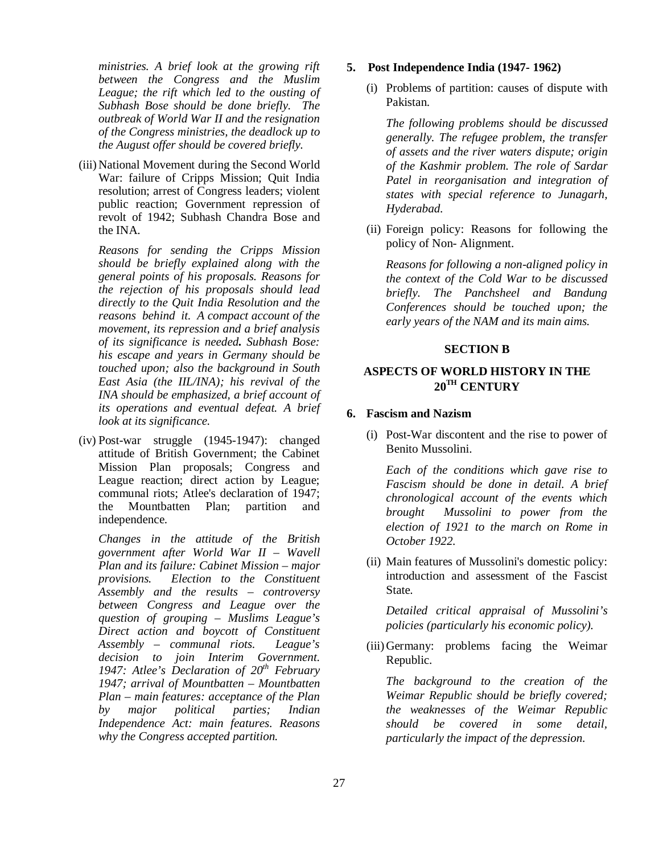*ministries. A brief look at the growing rift between the Congress and the Muslim League; the rift which led to the ousting of Subhash Bose should be done briefly. The outbreak of World War II and the resignation of the Congress ministries, the deadlock up to the August offer should be covered briefly.*

(iii) National Movement during the Second World War: failure of Cripps Mission; Quit India resolution; arrest of Congress leaders; violent public reaction; Government repression of revolt of 1942; Subhash Chandra Bose and the INA.

*Reasons for sending the Cripps Mission should be briefly explained along with the general points of his proposals. Reasons for the rejection of his proposals should lead directly to the Quit India Resolution and the reasons behind it. A compact account of the movement, its repression and a brief analysis of its significance is needed. Subhash Bose: his escape and years in Germany should be touched upon; also the background in South East Asia (the IIL/INA); his revival of the INA should be emphasized, a brief account of its operations and eventual defeat. A brief look at its significance.*

(iv) Post-war struggle (1945-1947): changed attitude of British Government; the Cabinet Mission Plan proposals; Congress and League reaction; direct action by League; communal riots; Atlee's declaration of 1947; the Mountbatten Plan; partition and independence.

*Changes in the attitude of the British government after World War II – Wavell Plan and its failure: Cabinet Mission – major provisions. Election to the Constituent Assembly and the results – controversy between Congress and League over the question of grouping – Muslims League's Direct action and boycott of Constituent Assembly – communal riots. League's decision to join Interim Government. 1947: Atlee's Declaration of 20th February 1947; arrival of Mountbatten – Mountbatten Plan – main features: acceptance of the Plan by major political parties; Indian Independence Act: main features. Reasons why the Congress accepted partition.*

## **5. Post Independence India (1947- 1962)**

(i) Problems of partition: causes of dispute with Pakistan.

*The following problems should be discussed generally. The refugee problem, the transfer of assets and the river waters dispute; origin of the Kashmir problem. The role of Sardar Patel in reorganisation and integration of states with special reference to Junagarh, Hyderabad.*

(ii) Foreign policy: Reasons for following the policy of Non- Alignment.

*Reasons for following a non-aligned policy in the context of the Cold War to be discussed briefly. The Panchsheel and Bandung Conferences should be touched upon; the early years of the NAM and its main aims.*

### **SECTION B**

# **ASPECTS OF WORLD HISTORY IN THE 20TH CENTURY**

### **6. Fascism and Nazism**

(i) Post-War discontent and the rise to power of Benito Mussolini.

*Each of the conditions which gave rise to Fascism should be done in detail. A brief chronological account of the events which brought Mussolini to power from the election of 1921 to the march on Rome in October 1922.*

(ii) Main features of Mussolini's domestic policy: introduction and assessment of the Fascist State.

*Detailed critical appraisal of Mussolini's policies (particularly his economic policy).*

(iii) Germany: problems facing the Weimar Republic.

*The background to the creation of the Weimar Republic should be briefly covered; the weaknesses of the Weimar Republic should be covered in some detail, particularly the impact of the depression.*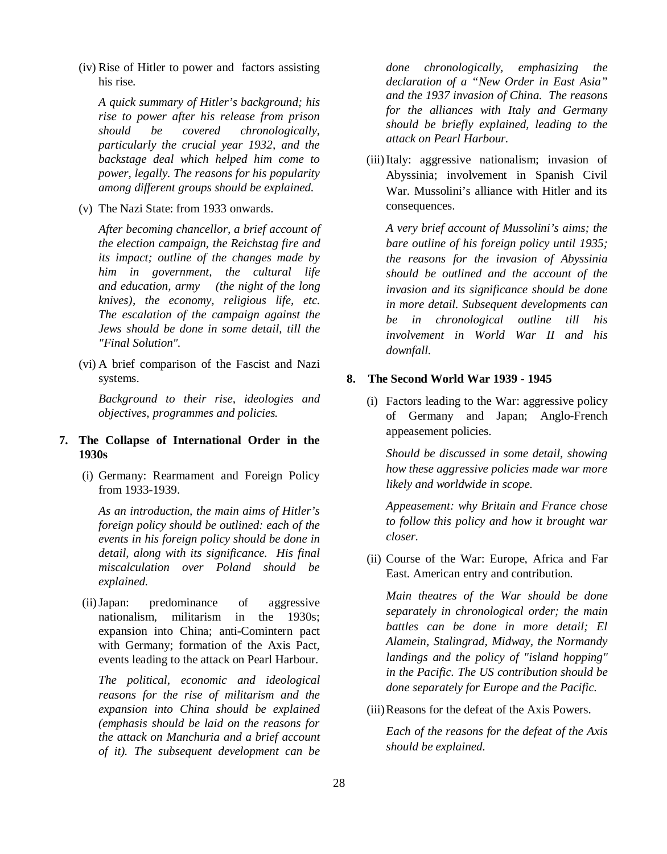(iv) Rise of Hitler to power and factors assisting his rise.

*A quick summary of Hitler's background; his rise to power after his release from prison should be covered chronologically, particularly the crucial year 1932, and the backstage deal which helped him come to power, legally. The reasons for his popularity among different groups should be explained.*

(v) The Nazi State: from 1933 onwards.

*After becoming chancellor, a brief account of the election campaign, the Reichstag fire and its impact; outline of the changes made by him in government, the cultural life and education, army (the night of the long knives), the economy, religious life, etc. The escalation of the campaign against the Jews should be done in some detail, till the "Final Solution".*

(vi) A brief comparison of the Fascist and Nazi systems.

*Background to their rise, ideologies and objectives, programmes and policies.* 

# **7. The Collapse of International Order in the 1930s**

(i) Germany: Rearmament and Foreign Policy from 1933-1939.

*As an introduction, the main aims of Hitler's foreign policy should be outlined: each of the events in his foreign policy should be done in detail, along with its significance. His final miscalculation over Poland should be explained.*

(ii)Japan: predominance of aggressive nationalism, militarism in the 1930s; expansion into China; anti-Comintern pact with Germany; formation of the Axis Pact, events leading to the attack on Pearl Harbour.

*The political, economic and ideological reasons for the rise of militarism and the expansion into China should be explained (emphasis should be laid on the reasons for the attack on Manchuria and a brief account of it). The subsequent development can be* 

*done chronologically, emphasizing the declaration of a "New Order in East Asia" and the 1937 invasion of China. The reasons for the alliances with Italy and Germany should be briefly explained, leading to the attack on Pearl Harbour.*

(iii)Italy: aggressive nationalism; invasion of Abyssinia; involvement in Spanish Civil War. Mussolini's alliance with Hitler and its consequences.

*A very brief account of Mussolini's aims; the bare outline of his foreign policy until 1935; the reasons for the invasion of Abyssinia should be outlined and the account of the invasion and its significance should be done in more detail. Subsequent developments can be in chronological outline till his involvement in World War II and his downfall.*

# **8. The Second World War 1939 - 1945**

(i) Factors leading to the War: aggressive policy of Germany and Japan; Anglo-French appeasement policies.

*Should be discussed in some detail, showing how these aggressive policies made war more likely and worldwide in scope.*

*Appeasement: why Britain and France chose to follow this policy and how it brought war closer.*

(ii) Course of the War: Europe, Africa and Far East. American entry and contribution.

*Main theatres of the War should be done separately in chronological order; the main battles can be done in more detail; El Alamein, Stalingrad, Midway, the Normandy landings and the policy of "island hopping" in the Pacific. The US contribution should be done separately for Europe and the Pacific.*

(iii)Reasons for the defeat of the Axis Powers.

*Each of the reasons for the defeat of the Axis should be explained.*